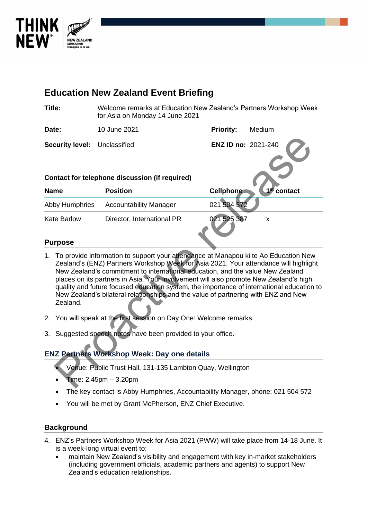

# **Education New Zealand Event Briefing Title:** Welcome remarks at Education New Zealand's Partners Workshop Week for Asia on Monday 14 June 2021 **Date:** 10 June 2021 **Priority:** Medium **Security level:** Unclassified **ENZ ID no:** 2021-240 **Contact for telephone discussion (if required) Name Position 1 1 Cellphone st contact**  Abby Humphries Accountability Manager 021 504 57 Kate Barlow Director, International PR 021 525 387 x ENZ ID no: 2021-240<br>
That act for telephone discussion (if required)<br>
The Position<br>
Provide incominability Manager<br>
Provide information to support your allendance at Manapou ki te Ao Education Nev<br>
To provide information t

#### **Purpose**

- 1. To provide information to support your attendance at Manapou ki te Ao Education New Zealand's (ENZ) Partners Workshop Week for Asia 2021. Your attendance will highlight New Zealand's commitment to international education, and the value New Zealand places on its partners in Asia. Your involvement will also promote New Zealand's high quality and future focused education system, the importance of international education to New Zealand's bilateral relationships and the value of partnering with ENZ and New Zealand.
- 2. You will speak at the first session on Day One: Welcome remarks.
- 3. Suggested speech notes have been provided to your office.

### **ENZ Partners Workshop Week: Day one details**

- Venue: Public Trust Hall, 131-135 Lambton Quay, Wellington
- Time:  $2.45$ pm  $-3.20$ pm
- The key contact is Abby Humphries, Accountability Manager, phone: 021 504 572
- You will be met by Grant McPherson, ENZ Chief Executive.

#### **Background**

- 4. ENZ's Partners Workshop Week for Asia 2021 (PWW) will take place from 14-18 June. It is a week-long virtual event to:
	- maintain New Zealand's visibility and engagement with key in-market stakeholders (including government officials, academic partners and agents) to support New Zealand's education relationships.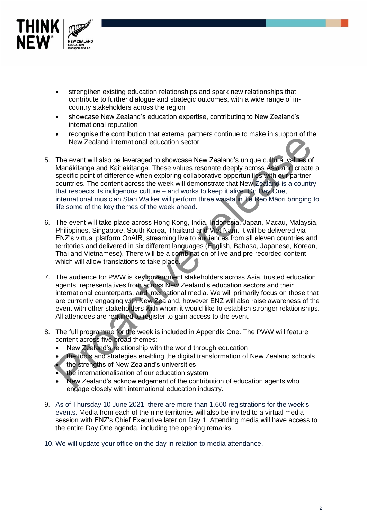

- strengthen existing education relationships and spark new relationships that contribute to further dialogue and strategic outcomes, with a wide range of incountry stakeholders across the region
- showcase New Zealand's education expertise, contributing to New Zealand's international reputation
- recognise the contribution that external partners continue to make in support of the New Zealand international education sector.
- 5. The event will also be leveraged to showcase New Zealand's unique cultural values of Manākitanga and Kaitiakitanga. These values resonate deeply across Asia and create a specific point of difference when exploring collaborative opportunities with our partner countries. The content across the week will demonstrate that New Zealand is a country that respects its indigenous culture – and works to keep it alive. On Day One, international musician Stan Walker will perform three waiata in Te Reo Māori bringing to life some of the key themes of the week ahead. Provide the later of the every interest and the constrained by the method of the step and the step and the step and the every and the every and the every and the constrained continue of the specific point of difference whe
- 6. The event will take place across Hong Kong, India, Indonesia, Japan, Macau, Malaysia, Philippines, Singapore, South Korea, Thailand and Viet Nam. It will be delivered via ENZ's virtual platform OnAIR, streaming live to audiences from all eleven countries and territories and delivered in six different languages (English, Bahasa, Japanese, Korean, Thai and Vietnamese). There will be a combination of live and pre-recorded content which will allow translations to take place.
- 7. The audience for PWW is key government stakeholders across Asia, trusted education agents, representatives from across New Zealand's education sectors and their international counterparts, and international media. We will primarily focus on those that are currently engaging with New Zealand, however ENZ will also raise awareness of the event with other stakeholders with whom it would like to establish stronger relationships. All attendees are required to register to gain access to the event.
- 8. The full programme for the week is included in Appendix One. The PWW will feature content across five broad themes:
	- New Zealand's relationship with the world through education
	- the tools and strategies enabling the digital transformation of New Zealand schools
	- the strengths of New Zealand's universities
	- the internationalisation of our education system
	- New Zealand's acknowledgement of the contribution of education agents who engage closely with international education industry.
- 9. As of Thursday 10 June 2021, there are more than 1,600 registrations for the week's events. Media from each of the nine territories will also be invited to a virtual media session with ENZ's Chief Executive later on Day 1. Attending media will have access to the entire Day One agenda, including the opening remarks.
- 10. We will update your office on the day in relation to media attendance.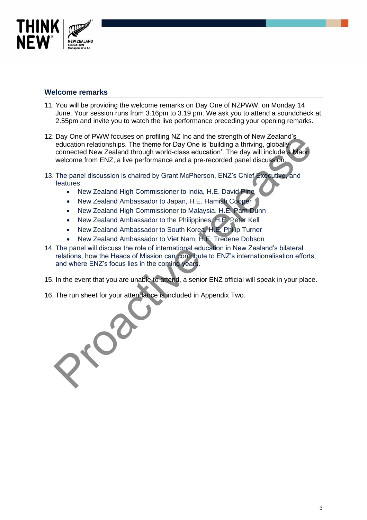

#### **Welcome remarks**

- 11. You will be providing the welcome remarks on Day One of NZPWW, on Monday 14 June. Your session runs from 3.16pm to 3.19 pm. We ask you to attend a soundcheck at 2.55pm and invite you to watch the live performance preceding your opening remarks.
- 12. Day One of PWW focuses on profiling NZ Inc and the strength of New Zealand's education relationships. The theme for Day One is 'building a thriving, globallyconnected New Zealand through world-class education'. The day will include a Māori welcome from ENZ, a live performance and a pre-recorded panel discussion.
- 13. The panel discussion is chaired by Grant McPherson, ENZ's Chief Executive, and features:
	- New Zealand High Commissioner to India, H.E. David Pine
	- New Zealand Ambassador to Japan, H.E. Hamish Cooper
	- New Zealand High Commissioner to Malaysia, H.E. Pam Dunn
	- New Zealand Ambassador to the Philippines, H.E. Peter Kell
	- New Zealand Ambassador to South Korea, H.E. Philip Turner
	- New Zealand Ambassador to Viet Nam, H.E. Tredene Dobson
- 14. The panel will discuss the role of international education in New Zealand's bilateral relations, how the Heads of Mission can contribute to ENZ's internationalisation efforts, and where ENZ's focus lies in the coming years.
- 15. In the event that you are unable to attend, a senior ENZ official will speak in your place.
- 16. The run sheet for your attendance is included in Appendix Two.

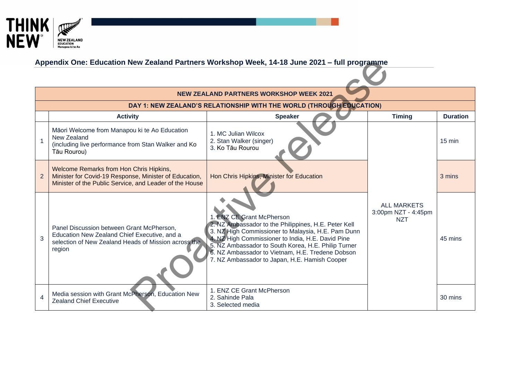

## **Appendix One: Education New Zealand Partners Workshop Week, 14-18 June 2021 – full programme**

| Appendix One: Education New Zealand Partners Workshop Week, 14-18 June 2021 - full programme |                                                                                                                                                              |                                                                                                                                                                                                                                                                                                                                                          |                                                         |                  |  |  |
|----------------------------------------------------------------------------------------------|--------------------------------------------------------------------------------------------------------------------------------------------------------------|----------------------------------------------------------------------------------------------------------------------------------------------------------------------------------------------------------------------------------------------------------------------------------------------------------------------------------------------------------|---------------------------------------------------------|------------------|--|--|
|                                                                                              |                                                                                                                                                              |                                                                                                                                                                                                                                                                                                                                                          |                                                         |                  |  |  |
|                                                                                              |                                                                                                                                                              | <b>NEW ZEALAND PARTNERS WORKSHOP WEEK 2021</b>                                                                                                                                                                                                                                                                                                           |                                                         |                  |  |  |
|                                                                                              |                                                                                                                                                              | DAY 1: NEW ZEALAND'S RELATIONSHIP WITH THE WORLD (THROUGH EDUCATION)                                                                                                                                                                                                                                                                                     |                                                         |                  |  |  |
|                                                                                              | <b>Activity</b>                                                                                                                                              | <b>Speaker</b>                                                                                                                                                                                                                                                                                                                                           | <b>Timing</b>                                           | <b>Duration</b>  |  |  |
|                                                                                              | Māori Welcome from Manapou ki te Ao Education<br>New Zealand<br>(including live performance from Stan Walker and Ko<br>Tāu Rourou)                           | 1. MC Julian Wilcox<br>2. Stan Walker (singer)<br>3. Ko Tāu Rourou                                                                                                                                                                                                                                                                                       |                                                         | $15 \text{ min}$ |  |  |
| 2                                                                                            | Welcome Remarks from Hon Chris Hipkins,<br>Minister for Covid-19 Response, Minister of Education,<br>Minister of the Public Service, and Leader of the House | Hon Chris Hipkins, Minister for Education                                                                                                                                                                                                                                                                                                                |                                                         | 3 mins           |  |  |
| 3                                                                                            | Panel Discussion between Grant McPherson,<br>Education New Zealand Chief Executive, and a<br>selection of New Zealand Heads of Mission across the<br>region  | 1. ENZ CE Grant McPherson<br>2. NZ Ambassador to the Philippines, H.E. Peter Kell<br>3. NZ High Commissioner to Malaysia, H.E. Pam Dunn<br>4. NZ High Commissioner to India, H.E. David Pine<br>5. NZ Ambassador to South Korea, H.E. Philip Turner<br>6. NZ Ambassador to Vietnam, H.E. Tredene Dobson<br>7. NZ Ambassador to Japan, H.E. Hamish Cooper | <b>ALL MARKETS</b><br>3:00pm NZT - 4:45pm<br><b>NZT</b> | 45 mins          |  |  |
| 4                                                                                            | Media session with Grant McPherson, Education New<br><b>Zealand Chief Executive</b>                                                                          | 1. ENZ CE Grant McPherson<br>2. Sahinde Pala<br>3. Selected media                                                                                                                                                                                                                                                                                        |                                                         | 30 mins          |  |  |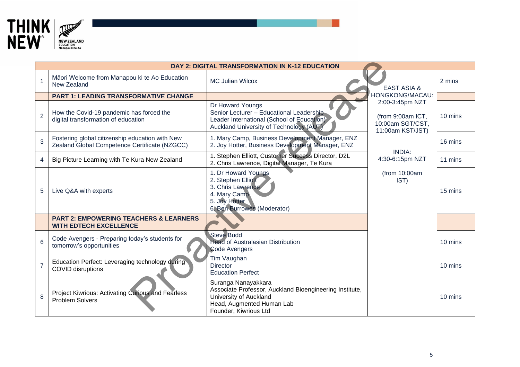

|                | <b>DAY 2: DIGITAL TRANSFORMATION IN K-12 EDUCATION</b>                                           |                                                                                                                                                                |                                                                              |         |  |  |
|----------------|--------------------------------------------------------------------------------------------------|----------------------------------------------------------------------------------------------------------------------------------------------------------------|------------------------------------------------------------------------------|---------|--|--|
|                | Māori Welcome from Manapou ki te Ao Education<br>New Zealand                                     | <b>MC Julian Wilcox</b>                                                                                                                                        | <b>EAST ASIA &amp;</b>                                                       | 2 mins  |  |  |
|                | <b>PART 1: LEADING TRANSFORMATIVE CHANGE</b>                                                     |                                                                                                                                                                | HONGKONG/MACAU:                                                              |         |  |  |
| $\overline{2}$ | How the Covid-19 pandemic has forced the<br>digital transformation of education                  | Dr Howard Youngs<br>Senior Lecturer - Educational Leadership<br>Leader International (School of Education)<br>Auckland University of Technology (AUT)          | 2:00-3:45pm NZT<br>(from 9:00am ICT,<br>10:00am SGT/CST,<br>11:00am KST/JST) | 10 mins |  |  |
| 3              | Fostering global citizenship education with New<br>Zealand Global Competence Certificate (NZGCC) | 1. Mary Camp, Business Development Manager, ENZ<br>2. Joy Hotter, Business Development Manager, ENZ                                                            |                                                                              | 16 mins |  |  |
| 4              | Big Picture Learning with Te Kura New Zealand                                                    | 1. Stephen Elliott, Customer Success Director, D2L<br>2. Chris Lawrence, Digital Manager, Te Kura                                                              | <b>INDIA:</b><br>4:30-6:15pm NZT                                             | 11 mins |  |  |
| 5              | Live Q&A with experts                                                                            | 1. Dr Howard Youngs<br>2. Stephen Elliott<br>3. Chris Lawrence<br>4. Mary Camp<br>5. Joy Hotter<br>6. Ben Burrowes (Moderator)                                 | (from 10:00am<br>IST)                                                        | 15 mins |  |  |
|                | <b>PART 2: EMPOWERING TEACHERS &amp; LEARNERS</b><br><b>WITH EDTECH EXCELLENCE</b>               |                                                                                                                                                                |                                                                              |         |  |  |
| 6              | Code Avengers - Preparing today's students for<br>tomorrow's opportunities                       | <b>Steve Budd</b><br><b>Head of Australasian Distribution</b><br>Code Avengers                                                                                 |                                                                              | 10 mins |  |  |
|                | Education Perfect: Leveraging technology during<br><b>COVID disruptions</b>                      | Tim Vaughan<br><b>Director</b><br><b>Education Perfect</b>                                                                                                     |                                                                              | 10 mins |  |  |
| 8              | Project Kiwrious: Activating Curious and Fearless<br><b>Problem Solvers</b>                      | Suranga Nanayakkara<br>Associate Professor, Auckland Bioengineering Institute,<br>University of Auckland<br>Head, Augmented Human Lab<br>Founder, Kiwrious Ltd |                                                                              | 10 mins |  |  |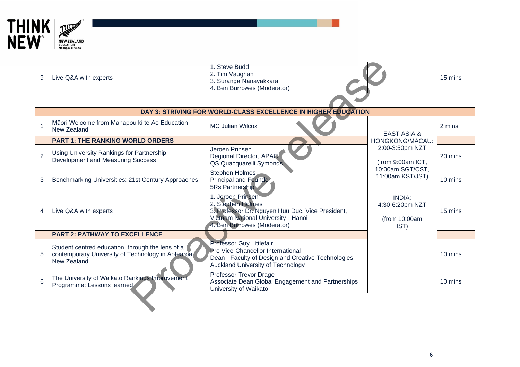

|   |                       | . Steve Budd                |  |
|---|-----------------------|-----------------------------|--|
| 9 | Live Q&A with experts | 2. Tim Vaughan              |  |
|   |                       | 3. Suranga Nanayakkara      |  |
|   |                       | 4. Ben Burrowes (Moderator) |  |

| 9              | Live Q&A with experts                                                                                                | 1. Steve Budd<br>2. Tim Vaughan<br>3. Suranga Nanayakkara<br>4. Ben Burrowes (Moderator)                                                                         |                                                                              | 15 mins |  |  |
|----------------|----------------------------------------------------------------------------------------------------------------------|------------------------------------------------------------------------------------------------------------------------------------------------------------------|------------------------------------------------------------------------------|---------|--|--|
|                |                                                                                                                      |                                                                                                                                                                  |                                                                              |         |  |  |
|                |                                                                                                                      | DAY 3: STRIVING FOR WORLD-CLASS EXCELLENCE IN HIGHER EDUCATION                                                                                                   |                                                                              |         |  |  |
|                | Māori Welcome from Manapou ki te Ao Education<br>New Zealand                                                         | <b>MC Julian Wilcox</b>                                                                                                                                          | <b>EAST ASIA &amp;</b>                                                       | 2 mins  |  |  |
|                | <b>PART 1: THE RANKING WORLD ORDERS</b>                                                                              |                                                                                                                                                                  | HONGKONG/MACAU:                                                              |         |  |  |
| $\overline{2}$ | Using University Rankings for Partnership<br>Development and Measuring Success                                       | Jeroen Prinsen<br>Regional Director, APAC<br>QS Quacquarelli Symonds                                                                                             | 2:00-3:50pm NZT<br>(from 9:00am ICT,<br>10:00am SGT/CST,<br>11:00am KST/JST) | 20 mins |  |  |
| 3              | Benchmarking Universities: 21st Century Approaches                                                                   | Stephen Holmes<br><b>Principal and Founder</b><br>5Rs Partnership                                                                                                |                                                                              | 10 mins |  |  |
| 4              | Live Q&A with experts                                                                                                | 1. Jeroen Prinsen<br>2. Stephen Holmes<br>3. Professor Dr. Nguyen Huu Duc, Vice President,<br>Vietnam National University - Hanoi<br>4. Ben Burrowes (Moderator) | <b>INDIA:</b><br>4:30-6:20pm NZT<br>(from 10:00am<br>IST)                    | 15 mins |  |  |
|                | <b>PART 2: PATHWAY TO EXCELLENCE</b>                                                                                 |                                                                                                                                                                  |                                                                              |         |  |  |
| 5              | Student centred education, through the lens of a<br>contemporary University of Technology in Aotearoa<br>New Zealand | Professor Guy Littlefair<br>Pro Vice-Chancellor International<br>Dean - Faculty of Design and Creative Technologies<br>Auckland University of Technology         |                                                                              | 10 mins |  |  |
| 6              | The University of Waikato Rankings Improvement<br>Programme: Lessons learned                                         | Professor Trevor Drage<br>Associate Dean Global Engagement and Partnerships<br>University of Waikato                                                             |                                                                              | 10 mins |  |  |
|                |                                                                                                                      |                                                                                                                                                                  |                                                                              |         |  |  |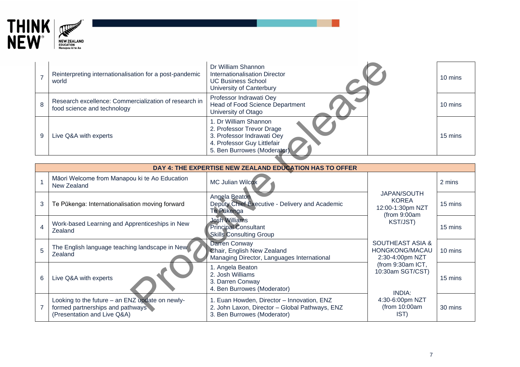

|                                                         | Reinterpreting internationalisation for a post-pandemic<br>world                                                                                                                   | Dr William Shannon<br>Internationalisation Director<br><b>UC Business School</b><br>University of Canterbury | 10 mins |  |  |
|---------------------------------------------------------|------------------------------------------------------------------------------------------------------------------------------------------------------------------------------------|--------------------------------------------------------------------------------------------------------------|---------|--|--|
| 8                                                       | Research excellence: Commercialization of research in<br>food science and technology                                                                                               | Professor Indrawati Oey<br>Head of Food Science Department<br>University of Otago                            | 10 mins |  |  |
| 9                                                       | I. Dr William Shannon<br>2. Professor Trevor Drage<br>3. Professor Indrawati Oey<br>15 mins<br>Live Q&A with experts<br>4. Professor Guy Littlefair<br>5. Ben Burrowes (Moderator) |                                                                                                              |         |  |  |
|                                                         |                                                                                                                                                                                    |                                                                                                              |         |  |  |
| DAY 4: THE EXPERTISE NEW ZEALAND EDUCATION HAS TO OFFER |                                                                                                                                                                                    |                                                                                                              |         |  |  |

|                         | DAY 4: THE EXPERTISE NEW ZEALAND EDUCATION HAS TO OFFER                                                            |                                                                                                                             |                                                                                    |         |  |  |
|-------------------------|--------------------------------------------------------------------------------------------------------------------|-----------------------------------------------------------------------------------------------------------------------------|------------------------------------------------------------------------------------|---------|--|--|
|                         | Māori Welcome from Manapou ki te Ao Education<br>New Zealand                                                       | <b>MC Julian Wilcox</b>                                                                                                     |                                                                                    | 2 mins  |  |  |
| 3                       | Te Pūkenga: Internationalisation moving forward                                                                    | Angela Beaton<br>Deputy Chief Executive - Delivery and Academic<br><b>Te Pukenga</b>                                        | <b>JAPAN/SOUTH</b><br><b>KOREA</b><br>12:00-1:30pm NZT<br>(from 9:00am<br>KST/JST) | 15 mins |  |  |
| $\overline{\mathbf{4}}$ | Work-based Learning and Apprenticeships in New<br>Zealand                                                          | <b>Josh Williams</b><br><b>Principal Consultant</b><br><b>Skills Consulting Group</b>                                       |                                                                                    | 15 mins |  |  |
| 5                       | The English language teaching landscape in New<br>Zealand                                                          | Darren Conway<br>Chair, English New Zealand<br>Managing Director, Languages International                                   | <b>SOUTHEAST ASIA &amp;</b><br>HONGKONG/MACAU<br>2:30-4:00pm NZT                   | 10 mins |  |  |
| 6                       | Live Q&A with experts                                                                                              | 1. Angela Beaton<br>2. Josh Williams<br>3. Darren Conway<br>4. Ben Burrowes (Moderator)                                     | (from 9:30am ICT,<br>10:30am SGT/CST)<br>INDIA:                                    | 15 mins |  |  |
|                         | Looking to the future - an ENZ update on newly-<br>formed partnerships and pathways<br>(Presentation and Live Q&A) | 1. Euan Howden, Director - Innovation, ENZ<br>2. John Laxon, Director - Global Pathways, ENZ<br>3. Ben Burrowes (Moderator) | 4:30-6:00pm NZT<br>(from 10:00am<br>IST)                                           | 30 mins |  |  |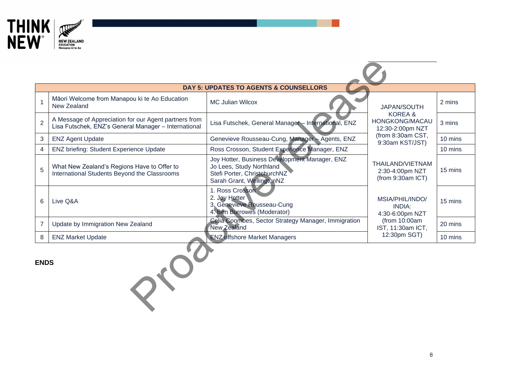

|                | <b>DAY 5: UPDATES TO AGENTS &amp; COUNSELLORS</b>                                                             |                                                                                                                                        |                                                          |         |  |  |
|----------------|---------------------------------------------------------------------------------------------------------------|----------------------------------------------------------------------------------------------------------------------------------------|----------------------------------------------------------|---------|--|--|
| 1              | Māori Welcome from Manapou ki te Ao Education<br>New Zealand                                                  | <b>MC Julian Wilcox</b>                                                                                                                | <b>JAPAN/SOUTH</b>                                       | 2 mins  |  |  |
| $\overline{2}$ | A Message of Appreciation for our Agent partners from<br>Lisa Futschek, ENZ's General Manager - International | Lisa Futschek, General Manager - International, ENZ                                                                                    | KOREA&<br>HONGKONG/MACAU<br>12:30-2:00pm NZT             | 3 mins  |  |  |
| 3              | <b>ENZ Agent Update</b>                                                                                       | Genevieve Rousseau-Cung, Manager - Agents, ENZ                                                                                         | (from 8:30am CST,<br>9:30am KST/JST)                     | 10 mins |  |  |
| 4              | <b>ENZ briefing: Student Experience Update</b>                                                                | Ross Crosson, Student Experience Manager, ENZ                                                                                          |                                                          | 10 mins |  |  |
| 5              | What New Zealand's Regions Have to Offer to<br>International Students Beyond the Classrooms                   | Joy Hotter, Business Development Manager, ENZ<br>Jo Lees, Study Northland<br>Stefi Porter, ChristehurchNZ<br>Sarah Grant, WellingtonNZ | THAILAND/VIETNAM<br>2:30-4:00pm NZT<br>(from 9:30am ICT) | 15 mins |  |  |
| 6              | Live Q&A                                                                                                      | 1. Ross Crosson<br>2. Joy Hotter<br>3. Genevieve Rousseau-Cung<br>4. Ben Burrowes (Moderator)                                          | MSIA/PHIL/INDO/<br><b>INDIA:</b><br>4:30-6:00pm NZT      | 15 mins |  |  |
| $\overline{7}$ | Update by Immigration New Zealand                                                                             | Celia Coombes, Sector Strategy Manager, Immigration<br>New Zealand                                                                     | (from 10:00am<br>IST, 11:30am ICT,                       | 20 mins |  |  |
| 8              | <b>ENZ Market Update</b>                                                                                      | <b>ENZ offshore Market Managers</b>                                                                                                    | 12:30pm SGT)                                             | 10 mins |  |  |
| <b>ENDS</b>    |                                                                                                               |                                                                                                                                        |                                                          |         |  |  |